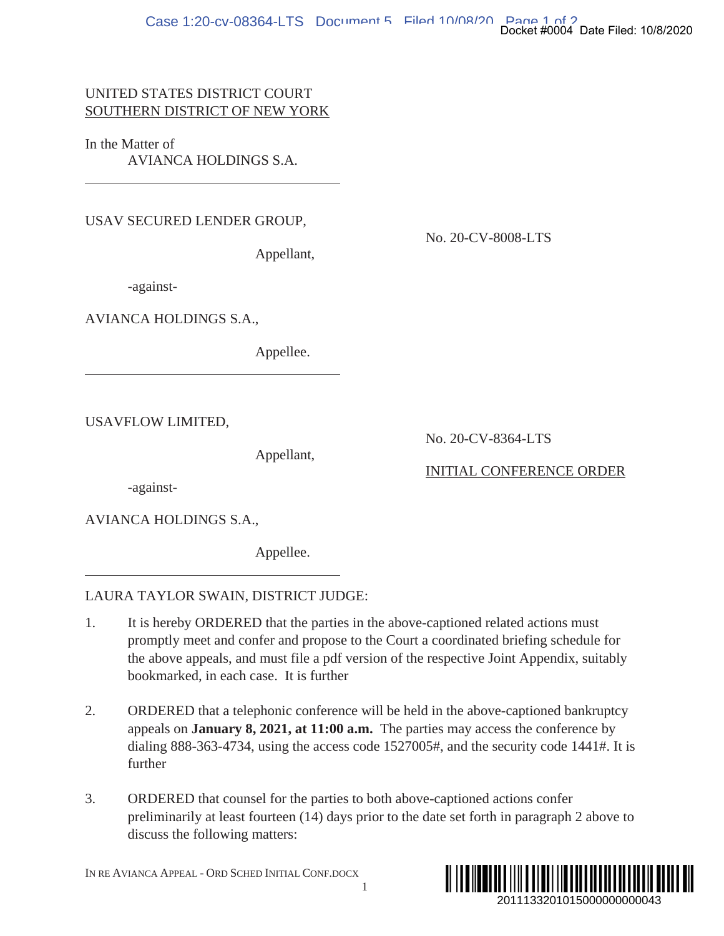## UNITED STATES DISTRICT COURT SOUTHERN DISTRICT OF NEW YORK

In the Matter of AVIANCA HOLDINGS S.A.

USAV SECURED LENDER GROUP,

No. 20-CV-8008-LTS

Appellant,

-against-

AVIANCA HOLDINGS S.A.,

Appellee.

USAVFLOW LIMITED,

Appellant,

No. 20-CV-8364-LTS

INITIAL CONFERENCE ORDER

-against-

AVIANCA HOLDINGS S.A.,

Appellee.

## LAURA TAYLOR SWAIN, DISTRICT JUDGE:

- 1. It is hereby ORDERED that the parties in the above-captioned related actions must promptly meet and confer and propose to the Court a coordinated briefing schedule for the above appeals, and must file a pdf version of the respective Joint Appendix, suitably bookmarked, in each case. It is further
- 2. ORDERED that a telephonic conference will be held in the above-captioned bankruptcy appeals on **January 8, 2021, at 11:00 a.m.** The parties may access the conference by dialing 888-363-4734, using the access code 1527005#, and the security code 1441#. It is further 2014 Booket #0004 Date Filed: 10/8/2020<br>2013<br>2013<br>2013<br>2013<br>2014 Appendix, suitably<br>2015<br>2014 Precember of Booker and All Precember<br>2014<br>2011<br>20111332010150000000000043
- 3. ORDERED that counsel for the parties to both above-captioned actions confer preliminarily at least fourteen (14) days prior to the date set forth in paragraph 2 above to discuss the following matters:

1